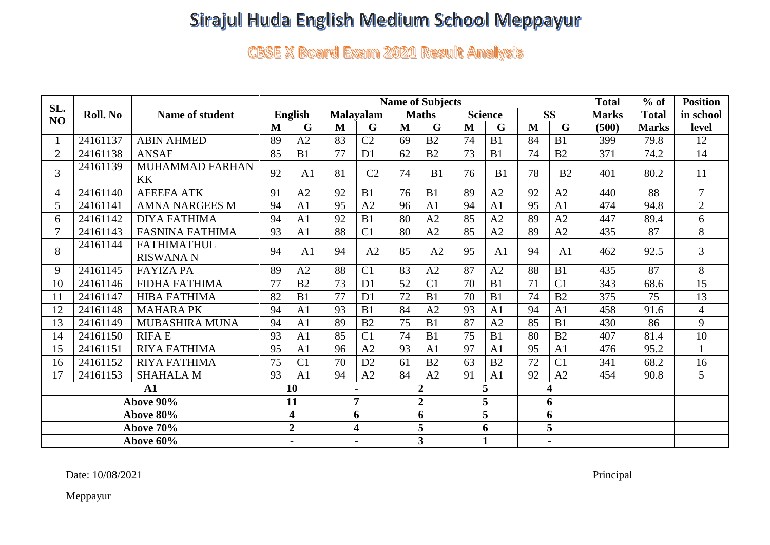## Sirajul Huda English Medium School Meppayur

**CBSE X Board Exam 2021 Result Analysis** 

| SL.            | Roll. No | Name of student                        | <b>Name of Subjects</b> |                     |                  |                |                         |                |                |                |                         | <b>Total</b>   | $%$ of       | <b>Position</b> |                |
|----------------|----------|----------------------------------------|-------------------------|---------------------|------------------|----------------|-------------------------|----------------|----------------|----------------|-------------------------|----------------|--------------|-----------------|----------------|
| NO             |          |                                        | <b>English</b>          |                     | <b>Malavalam</b> |                | <b>Maths</b>            |                | <b>Science</b> |                | <b>SS</b>               |                | <b>Marks</b> | <b>Total</b>    | in school      |
|                |          |                                        | M                       | G                   | M                | G              | M                       | G              | M              | G              | M                       | G              | (500)        | <b>Marks</b>    | level          |
|                | 24161137 | <b>ABIN AHMED</b>                      | 89                      | A2                  | 83               | C <sub>2</sub> | 69                      | B <sub>2</sub> | 74             | B1             | 84                      | B1             | 399          | 79.8            | 12             |
| $\overline{2}$ | 24161138 | <b>ANSAF</b>                           | 85                      | B1                  | 77               | D <sub>1</sub> | 62                      | B2             | 73             | B1             | 74                      | B2             | 371          | 74.2            | 14             |
| 3              | 24161139 | MUHAMMAD FARHAN<br><b>KK</b>           | 92                      | A <sub>1</sub>      | 81               | C <sub>2</sub> | 74                      | B1             | 76             | B1             | 78                      | B <sub>2</sub> | 401          | 80.2            | 11             |
| 4              | 24161140 | <b>AFEEFA ATK</b>                      | 91                      | A2                  | 92               | B1             | 76                      | B1             | 89             | A2             | 92                      | A2             | 440          | 88              | $\overline{7}$ |
| 5              | 24161141 | <b>AMNA NARGEES M</b>                  | 94                      | A <sub>1</sub>      | 95               | A2             | 96                      | A1             | 94             | A <sub>1</sub> | 95                      | A <sub>1</sub> | 474          | 94.8            | $\overline{2}$ |
| 6              | 24161142 | <b>DIYA FATHIMA</b>                    | 94                      | A1                  | 92               | B1             | 80                      | A2             | 85             | A2             | 89                      | A2             | 447          | 89.4            | 6              |
|                | 24161143 | <b>FASNINA FATHIMA</b>                 | 93                      | A <sub>1</sub>      | 88               | C <sub>1</sub> | 80                      | A2             | 85             | A2             | 89                      | A2             | 435          | 87              | 8              |
| 8              | 24161144 | <b>FATHIMATHUL</b><br><b>RISWANA N</b> | 94                      | A <sub>1</sub>      | 94               | A2             | 85                      | A2             | 95             | A <sub>1</sub> | 94                      | A1             | 462          | 92.5            | 3              |
| 9              | 24161145 | <b>FAYIZA PA</b>                       | 89                      | A2                  | 88               | C <sub>1</sub> | 83                      | A2             | 87             | A2             | 88                      | B <sub>1</sub> | 435          | 87              | 8              |
| 10             | 24161146 | <b>FIDHA FATHIMA</b>                   | 77                      | B2                  | 73               | D <sub>1</sub> | 52                      | C <sub>1</sub> | 70             | B1             | 71                      | C <sub>1</sub> | 343          | 68.6            | 15             |
| 11             | 24161147 | <b>HIBA FATHIMA</b>                    | 82                      | B1                  | 77               | D <sub>1</sub> | 72                      | B1             | 70             | B1             | 74                      | B <sub>2</sub> | 375          | 75              | 13             |
| 12             | 24161148 | <b>MAHARA PK</b>                       | 94                      | A <sub>1</sub>      | 93               | B <sub>1</sub> | 84                      | A2             | 93             | A1             | 94                      | A <sub>1</sub> | 458          | 91.6            | $\overline{4}$ |
| 13             | 24161149 | <b>MUBASHIRA MUNA</b>                  | 94                      | A1                  | 89               | B2             | 75                      | B1             | 87             | A2             | 85                      | B1             | 430          | 86              | 9              |
| 14             | 24161150 | <b>RIFAE</b>                           | 93                      | A <sub>1</sub>      | 85               | C <sub>1</sub> | 74                      | B1             | 75             | B1             | 80                      | B <sub>2</sub> | 407          | 81.4            | 10             |
| 15             | 24161151 | <b>RIYA FATHIMA</b>                    | 95                      | A1                  | 96               | A2             | 93                      | A1             | 97             | A <sub>1</sub> | 95                      | A1             | 476          | 95.2            |                |
| 16             | 24161152 | <b>RIYA FATHIMA</b>                    | 75                      | C <sub>1</sub>      | 70               | D2             | 61                      | B <sub>2</sub> | 63             | B <sub>2</sub> | 72                      | C <sub>1</sub> | 341          | 68.2            | 16             |
| 17             | 24161153 | <b>SHAHALA M</b>                       | 93                      | A <sub>1</sub>      | 94               | A2             | 84                      | A2             | 91             | A <sub>1</sub> | 92                      | A2             | 454          | 90.8            | 5              |
| $\mathbf{A1}$  |          |                                        | 10                      |                     |                  |                | $\overline{2}$          |                | 5              |                | $\overline{\mathbf{4}}$ |                |              |                 |                |
| Above 90%      |          |                                        | 11                      |                     | $\overline{7}$   |                | $\overline{2}$          |                | 5              |                | 6                       |                |              |                 |                |
| Above 80%      |          |                                        | $\overline{\mathbf{4}}$ |                     | 6                |                | 6                       |                | 5              |                | 6                       |                |              |                 |                |
| Above 70%      |          |                                        |                         | $\overline{2}$<br>4 |                  |                | 5                       |                | 6              |                | 5                       |                |              |                 |                |
| Above 60%      |          |                                        |                         |                     |                  |                | $\overline{\mathbf{3}}$ |                | $\mathbf{1}$   |                | $\blacksquare$          |                |              |                 |                |

Date: 10/08/2021 Principal

Meppayur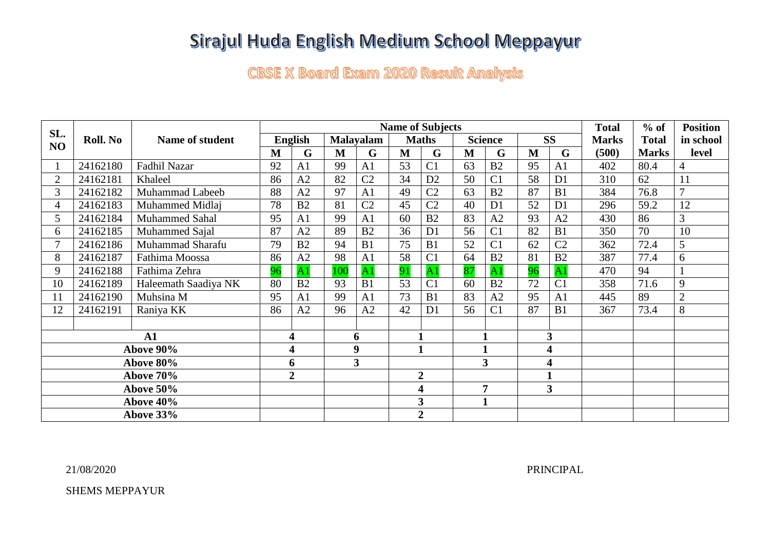## Sirajul Huda English Medium School Meppayur

**CBSE X Board Exam 2020 Result Analysis** 

|                | Roll. No | <b>Name of student</b> | <b>Name of Subjects</b> |                 |                  |                 |                |                 |                         |                 |                         | <b>Total</b>   | $%$ of       | <b>Position</b> |                |
|----------------|----------|------------------------|-------------------------|-----------------|------------------|-----------------|----------------|-----------------|-------------------------|-----------------|-------------------------|----------------|--------------|-----------------|----------------|
| SL.<br>NO      |          |                        | <b>English</b>          |                 | <b>Malayalam</b> |                 | <b>Maths</b>   |                 | <b>Science</b>          |                 | <b>SS</b>               |                | <b>Marks</b> | <b>Total</b>    | in school      |
|                |          |                        | $\mathbf{M}$            | G               | M                | G               | $\mathbf{M}$   | G               | M                       | G               | $\mathbf{M}$            | G              | (500)        | <b>Marks</b>    | level          |
|                | 24162180 | Fadhil Nazar           | 92                      | A1              | 99               | A <sub>1</sub>  | 53             | C <sub>1</sub>  | 63                      | B <sub>2</sub>  | 95                      | A1             | 402          | 80.4            | 4              |
| $\overline{2}$ | 24162181 | Khaleel                | 86                      | A2              | 82               | C <sub>2</sub>  | 34             | D2              | 50                      | C <sub>1</sub>  | 58                      | D <sub>1</sub> | 310          | 62              | 11             |
| $\overline{3}$ | 24162182 | Muhammad Labeeb        | 88                      | A2              | 97               | A1              | 49             | C <sub>2</sub>  | 63                      | B <sub>2</sub>  | 87                      | B1             | 384          | 76.8            | $\overline{7}$ |
| 4              | 24162183 | Muhammed Midlaj        | 78                      | B <sub>2</sub>  | 81               | C <sub>2</sub>  | 45             | C <sub>2</sub>  | 40                      | D <sub>1</sub>  | 52                      | D <sub>1</sub> | 296          | 59.2            | 12             |
| 5              | 24162184 | <b>Muhammed Sahal</b>  | 95                      | A <sub>1</sub>  | 99               | A <sub>1</sub>  | 60             | B <sub>2</sub>  | 83                      | A2              | 93                      | A2             | 430          | 86              | 3              |
| 6              | 24162185 | Muhammed Sajal         | 87                      | A2              | 89               | B2              | 36             | D <sub>1</sub>  | 56                      | C <sub>1</sub>  | 82                      | B1             | 350          | 70              | 10             |
| 7              | 24162186 | Muhammad Sharafu       | 79                      | B <sub>2</sub>  | 94               | B1              | 75             | B1              | 52                      | C <sub>1</sub>  | 62                      | C <sub>2</sub> | 362          | 72.4            | 5              |
| 8              | 24162187 | Fathima Moossa         | 86                      | A2              | 98               | A <sub>1</sub>  | 58             | C <sub>1</sub>  | 64                      | B <sub>2</sub>  | 81                      | B2             | 387          | 77.4            | 6              |
| 9              | 24162188 | Fathima Zehra          | 96                      | $\overline{A1}$ | 100              | $\overline{A1}$ | 91             | $\overline{A1}$ | 87                      | $\overline{A1}$ | 96                      | $\overline{A}$ | 470          | 94              |                |
| 10             | 24162189 | Haleemath Saadiya NK   | 80                      | B <sub>2</sub>  | 93               | B1              | 53             | C <sub>1</sub>  | 60                      | B <sub>2</sub>  | 72                      | C <sub>1</sub> | 358          | 71.6            | 9              |
| 11             | 24162190 | Muhsina M              | 95                      | A1              | 99               | A <sub>1</sub>  | 73             | B1              | 83                      | A2              | 95                      | A <sub>1</sub> | 445          | 89              | $\mathbf{2}$   |
| 12             | 24162191 | Raniya KK              | 86                      | A <sub>2</sub>  | 96               | A2              | 42             | D1              | 56                      | C <sub>1</sub>  | 87                      | B1             | 367          | 73.4            | 8              |
|                |          |                        |                         |                 |                  |                 |                |                 |                         |                 |                         |                |              |                 |                |
| $\mathbf{A1}$  |          | 4                      |                         | 6               |                  |                 |                | $\mathbf{1}$    |                         | 3               |                         |                |              |                 |                |
| Above 90%      |          | 4                      |                         | 9               |                  | $\mathbf{1}$    |                | $\mathbf{1}$    |                         | 4               |                         |                |              |                 |                |
| Above 80%      |          |                        | 6                       |                 | 3                |                 |                |                 | $\overline{\mathbf{3}}$ |                 | $\overline{\mathbf{4}}$ |                |              |                 |                |
| Above 70%      |          |                        |                         | $\overline{2}$  |                  |                 | $\overline{2}$ |                 |                         |                 |                         |                |              |                 |                |
| Above 50%      |          |                        |                         |                 |                  |                 | 4              |                 | $\overline{7}$          |                 | 3                       |                |              |                 |                |
| Above 40%      |          |                        |                         |                 |                  |                 |                | 3               |                         | $\mathbf{1}$    |                         |                |              |                 |                |
| Above 33%      |          |                        |                         |                 |                  |                 |                | $\overline{2}$  |                         |                 |                         |                |              |                 |                |

21/08/2020 PRINCIPAL

SHEMS MEPPAYUR